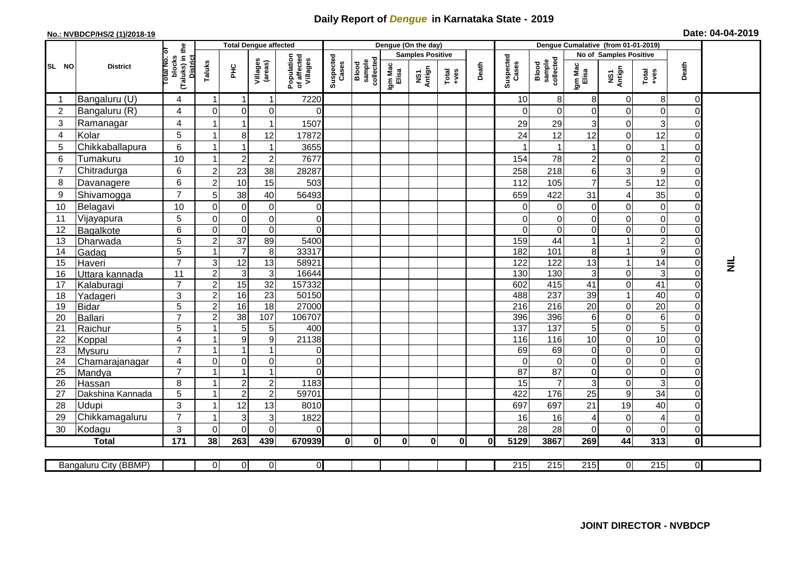## **Daily Report of** *Dengue* **in Karnataka State - 2019**

## **No.: NVBDCP/HS/2 (1)/2018-19 Date: 04-04-2019**

|                                                                                                                                                                                              |                            |                                                              | <b>Total Dengue affected</b> |                                |                                  |                                       |                    |                                     |                         | Dengue (On the day) |              |              |                       |                              |                        |                                 |                                                                                                                                                                                                                                                                                                                                                                                                             |                                  |                 |
|----------------------------------------------------------------------------------------------------------------------------------------------------------------------------------------------|----------------------------|--------------------------------------------------------------|------------------------------|--------------------------------|----------------------------------|---------------------------------------|--------------------|-------------------------------------|-------------------------|---------------------|--------------|--------------|-----------------------|------------------------------|------------------------|---------------------------------|-------------------------------------------------------------------------------------------------------------------------------------------------------------------------------------------------------------------------------------------------------------------------------------------------------------------------------------------------------------------------------------------------------------|----------------------------------|-----------------|
| SL NO                                                                                                                                                                                        | <b>District</b>            | (Taluks) in the<br>rotal No. of<br>blocks<br><b>District</b> |                              |                                |                                  |                                       |                    | sample<br>collected<br><b>Blood</b> | <b>Samples Positive</b> |                     |              |              |                       |                              | No of Samples Positive |                                 |                                                                                                                                                                                                                                                                                                                                                                                                             |                                  |                 |
|                                                                                                                                                                                              |                            |                                                              | Taluks                       | ÈЯ                             | Villages<br>(areas)              | Population<br>of affected<br>Villages | Suspected<br>Cases |                                     | Igm Mac<br>Elisa        | NS1<br>Antign       | $Totael$     | Death        | Suspected<br>Cases    | Blood<br>sample<br>collected | Igm Mac<br>Elisa       | NS1<br>Antign                   | $\begin{array}{c}\n\text{Total} \\ \text{1-4} \\ \text{1-4} \\ \text{1-4} \\ \text{1-4} \\ \text{1-4} \\ \text{1-4} \\ \text{1-4} \\ \text{1-4} \\ \text{1-4} \\ \text{1-4} \\ \text{1-4} \\ \text{1-4} \\ \text{1-4} \\ \text{1-4} \\ \text{1-4} \\ \text{1-4} \\ \text{1-4} \\ \text{1-4} \\ \text{1-4} \\ \text{1-4} \\ \text{1-4} \\ \text{1-4} \\ \text{1-4} \\ \text{1-4} \\ \text{1-4} \\ \text{1-4$ | Death                            |                 |
|                                                                                                                                                                                              | Bangaluru (U)              | 4                                                            | $\overline{\mathbf{1}}$      | $\overline{1}$                 | $\mathbf 1$                      | 7220                                  |                    |                                     |                         |                     |              |              | 10                    | 8                            | 8                      | 0                               | 8                                                                                                                                                                                                                                                                                                                                                                                                           | $\overline{0}$                   |                 |
| $\overline{2}$                                                                                                                                                                               | Bangaluru (R)              | 4                                                            | $\Omega$                     | $\overline{0}$                 | $\Omega$                         | $\Omega$                              |                    |                                     |                         |                     |              |              | $\Omega$              | $\Omega$                     | $\mathbf 0$            | $\mathbf 0$                     | $\Omega$                                                                                                                                                                                                                                                                                                                                                                                                    | $\Omega$                         |                 |
| 3                                                                                                                                                                                            | Ramanagar                  | 4                                                            |                              | 1                              |                                  | 1507                                  |                    |                                     |                         |                     |              |              | 29                    | 29                           | 3                      | 0                               | 3                                                                                                                                                                                                                                                                                                                                                                                                           | 0                                |                 |
| $\overline{4}$                                                                                                                                                                               | Kolar                      | 5                                                            | -1                           | 8 <sup>1</sup>                 | 12                               | 17872                                 |                    |                                     |                         |                     |              |              | 24                    | 12                           | 12                     | $\mathbf 0$                     | 12                                                                                                                                                                                                                                                                                                                                                                                                          | $\overline{0}$                   |                 |
| 5                                                                                                                                                                                            | Chikkaballapura            | 6                                                            |                              |                                | 1                                | 3655                                  |                    |                                     |                         |                     |              |              |                       | $\mathbf{1}$                 | $\mathbf{1}$           | $\mathbf 0$                     | 1                                                                                                                                                                                                                                                                                                                                                                                                           | $\overline{O}$                   |                 |
| 6                                                                                                                                                                                            | Tumakuru                   | 10                                                           |                              | $\overline{2}$                 | $\overline{c}$                   | 7677                                  |                    |                                     |                         |                     |              |              | 154                   | 78                           | $\overline{c}$         | $\Omega$                        | $\overline{c}$                                                                                                                                                                                                                                                                                                                                                                                              | $\overline{0}$                   |                 |
| $\overline{7}$                                                                                                                                                                               | Chitradurga                | 6                                                            | $\overline{2}$               | 23                             | 38                               | 28287                                 |                    |                                     |                         |                     |              |              | 258                   | 218                          | $\,6\,$                | 3                               | 9                                                                                                                                                                                                                                                                                                                                                                                                           | $\Omega$                         |                 |
| 8                                                                                                                                                                                            | Davanagere                 | 6                                                            | $\overline{2}$               | 10                             | 15                               | 503                                   |                    |                                     |                         |                     |              |              | 112                   | 105                          | $\overline{7}$         | 5                               | 12                                                                                                                                                                                                                                                                                                                                                                                                          | $\overline{0}$                   |                 |
| 9                                                                                                                                                                                            | Shivamogga                 | $\overline{7}$                                               | 5                            | 38                             | 40                               | 56493                                 |                    |                                     |                         |                     |              |              | 659                   | 422                          | 31                     | $\overline{4}$                  | 35                                                                                                                                                                                                                                                                                                                                                                                                          | $\Omega$                         |                 |
| 10                                                                                                                                                                                           | Belagavi                   | 10                                                           | $\Omega$                     | $\overline{0}$                 | $\Omega$                         | 0                                     |                    |                                     |                         |                     |              |              | 0                     | 0                            | $\mathbf 0$            | $\mathbf 0$                     | $\mathbf 0$                                                                                                                                                                                                                                                                                                                                                                                                 | $\Omega$                         |                 |
| 11                                                                                                                                                                                           | Vijayapura                 | 5                                                            | $\Omega$                     | $\overline{0}$                 | $\mathbf 0$                      | $\mathbf 0$                           |                    |                                     |                         |                     |              |              | 0                     | 0                            | $\mathbf 0$            | 0                               | $\mathbf 0$                                                                                                                                                                                                                                                                                                                                                                                                 | $\Omega$                         |                 |
| 12                                                                                                                                                                                           | Bagalkote                  | 6                                                            | $\Omega$                     | $\Omega$                       | $\mathbf 0$                      | $\mathbf 0$                           |                    |                                     |                         |                     |              |              | $\overline{0}$        | $\mathbf 0$                  | $\overline{0}$         | $\mathbf 0$                     | $\mathbf 0$                                                                                                                                                                                                                                                                                                                                                                                                 | $\Omega$                         |                 |
| 13                                                                                                                                                                                           | Dharwada                   | $\overline{5}$                                               | $\overline{c}$               | 37                             | 89                               | 5400                                  |                    |                                     |                         |                     |              |              | 159                   | 44                           | $\mathbf{1}$           |                                 | $\overline{2}$                                                                                                                                                                                                                                                                                                                                                                                              | $\Omega$                         |                 |
| 14                                                                                                                                                                                           | Gadag                      | 5                                                            | -1                           | $\overline{7}$                 | $\,8\,$                          | 33317                                 |                    |                                     |                         |                     |              |              | 182                   | 101                          | $\,8\,$                | $\mathbf 1$                     | $\boldsymbol{9}$                                                                                                                                                                                                                                                                                                                                                                                            | $\Omega$                         |                 |
| 15                                                                                                                                                                                           | Haveri                     | $\overline{7}$                                               | 3                            | $\overline{12}$                | 13                               | 58921                                 |                    |                                     |                         |                     |              |              | 122                   | $\overline{122}$             | 13                     | $\overline{1}$                  | 14                                                                                                                                                                                                                                                                                                                                                                                                          | $\overline{0}$                   | $\bar{\bar{z}}$ |
| 16                                                                                                                                                                                           | Uttara kannada             | 11                                                           | $\overline{2}$               | $\mathbf{3}$                   | 3                                | 16644                                 |                    |                                     |                         |                     |              |              | 130                   | 130                          | 3 <sup>1</sup>         | $\mathbf 0$                     | 3                                                                                                                                                                                                                                                                                                                                                                                                           | $\overline{0}$                   |                 |
| 17                                                                                                                                                                                           | Kalaburagi                 | $\overline{7}$                                               | $\overline{2}$               | 15                             | $\overline{32}$                  | 157332                                |                    |                                     |                         |                     |              |              | 602                   | 415                          | $\overline{41}$        | $\mathbf 0$                     | $\overline{41}$                                                                                                                                                                                                                                                                                                                                                                                             | $\Omega$                         |                 |
| 18                                                                                                                                                                                           | Yadageri                   | 3                                                            | $\overline{2}$               | 16                             | 23                               | 50150                                 |                    |                                     |                         |                     |              |              | 488                   | 237                          | 39                     | $\mathbf 1$                     | 40                                                                                                                                                                                                                                                                                                                                                                                                          | $\overline{0}$                   |                 |
| 19                                                                                                                                                                                           | Bidar                      | 5                                                            | $\overline{c}$               | 16                             | $\overline{18}$                  | 27000                                 |                    |                                     |                         |                     |              |              | 216                   | $\overline{216}$             | $\overline{20}$        | $\mathbf 0$                     | $\overline{20}$                                                                                                                                                                                                                                                                                                                                                                                             | $\overline{0}$                   |                 |
| 20                                                                                                                                                                                           | Ballari                    | $\overline{7}$                                               | $\overline{c}$               | 38                             | 107                              | 106707                                |                    |                                     |                         |                     |              |              | 396                   | 396                          | 6                      | $\mathbf 0$                     | $\overline{6}$                                                                                                                                                                                                                                                                                                                                                                                              | $\overline{0}$                   |                 |
| 21                                                                                                                                                                                           | Raichur                    | 5                                                            |                              | 5                              | 5                                | 400                                   |                    |                                     |                         |                     |              |              | 137                   | 137                          | $\overline{5}$         | $\mathbf 0$                     | 5                                                                                                                                                                                                                                                                                                                                                                                                           | $\overline{0}$                   |                 |
| 22                                                                                                                                                                                           | Koppal                     | $\overline{\mathbf{4}}$                                      |                              | $\overline{9}$                 | $\boldsymbol{9}$                 | 21138                                 |                    |                                     |                         |                     |              |              | 116                   | 116                          | 10                     | $\mathbf 0$                     | 10                                                                                                                                                                                                                                                                                                                                                                                                          | $\overline{0}$                   |                 |
| 23                                                                                                                                                                                           | <b>Mysuru</b>              | $\overline{7}$                                               |                              | -1                             | 1                                | 0                                     |                    |                                     |                         |                     |              |              | 69                    | 69                           | $\overline{0}$         | $\mathbf 0$                     | $\mathbf 0$                                                                                                                                                                                                                                                                                                                                                                                                 | $\overline{0}$                   |                 |
| 24                                                                                                                                                                                           | Chamarajanagar             | 4<br>$\overline{7}$                                          | $\Omega$                     | $\Omega$                       | 0                                | $\mathbf 0$                           |                    |                                     |                         |                     |              |              | $\Omega$              | $\mathbf 0$                  | $\overline{0}$         | $\mathbf 0$                     | $\pmb{0}$                                                                                                                                                                                                                                                                                                                                                                                                   | $\overline{0}$                   |                 |
| 25                                                                                                                                                                                           | Mandya                     |                                                              |                              | $\mathbf{1}$<br>$\overline{2}$ | 1                                | $\overline{0}$<br>1183                |                    |                                     |                         |                     |              |              | $\overline{87}$<br>15 | 87<br>$\overline{7}$         | $\mathsf 0$<br>3       | $\mathbf 0$                     | $\boldsymbol{0}$<br>3                                                                                                                                                                                                                                                                                                                                                                                       | $\overline{0}$<br>$\overline{0}$ |                 |
| 26<br>27                                                                                                                                                                                     | Hassan<br>Dakshina Kannada | 8<br>$\overline{5}$                                          | $\overline{1}$               | $\overline{2}$                 | $\overline{c}$<br>$\overline{2}$ | 59701                                 |                    |                                     |                         |                     |              |              | 422                   | 176                          | $\overline{25}$        | $\mathbf 0$<br>$\boldsymbol{9}$ | 34                                                                                                                                                                                                                                                                                                                                                                                                          | $\overline{0}$                   |                 |
| 28                                                                                                                                                                                           | <b>Udupi</b>               | $\mathfrak{S}$                                               | -1                           | 12                             | 13                               |                                       |                    |                                     |                         |                     |              |              | 697                   | 697                          | 21                     | 19                              | 40                                                                                                                                                                                                                                                                                                                                                                                                          | $\Omega$                         |                 |
| 29                                                                                                                                                                                           | Chikkamagaluru             | $\overline{7}$                                               |                              | 3                              | 3                                | 8010<br>1822                          |                    |                                     |                         |                     |              |              | 16                    | 16                           |                        | 0                               | 4                                                                                                                                                                                                                                                                                                                                                                                                           | $\overline{O}$                   |                 |
| 30                                                                                                                                                                                           | Kodagu                     | 3                                                            | $\Omega$                     | $\Omega$                       | $\Omega$                         | $\Omega$                              |                    |                                     |                         |                     |              |              | 28                    | 28                           | 4<br>0                 | $\mathbf 0$                     | $\Omega$                                                                                                                                                                                                                                                                                                                                                                                                    | $\overline{O}$                   |                 |
|                                                                                                                                                                                              | <b>Total</b>               | 171                                                          | 38                           | 263                            | 439                              | 670939                                | $\mathbf{0}$       | $\mathbf 0$                         | $\mathbf{0}$            | $\mathbf{0}$        | $\mathbf{0}$ | $\mathbf{0}$ | 5129                  | 3867                         | 269                    | 44                              | 313                                                                                                                                                                                                                                                                                                                                                                                                         | $\mathbf{0}$                     |                 |
|                                                                                                                                                                                              |                            |                                                              |                              |                                |                                  |                                       |                    |                                     |                         |                     |              |              |                       |                              |                        |                                 |                                                                                                                                                                                                                                                                                                                                                                                                             |                                  |                 |
| $\overline{0}$<br>215<br>$\overline{215}$<br>$\overline{215}$<br>215<br>$\overline{\Omega}$<br>$\overline{0}$<br>$\overline{0}$<br>$\overline{0}$<br>Bangaluru City (BBMP)<br>$\overline{0}$ |                            |                                                              |                              |                                |                                  |                                       |                    |                                     |                         |                     |              |              |                       |                              |                        |                                 |                                                                                                                                                                                                                                                                                                                                                                                                             |                                  |                 |